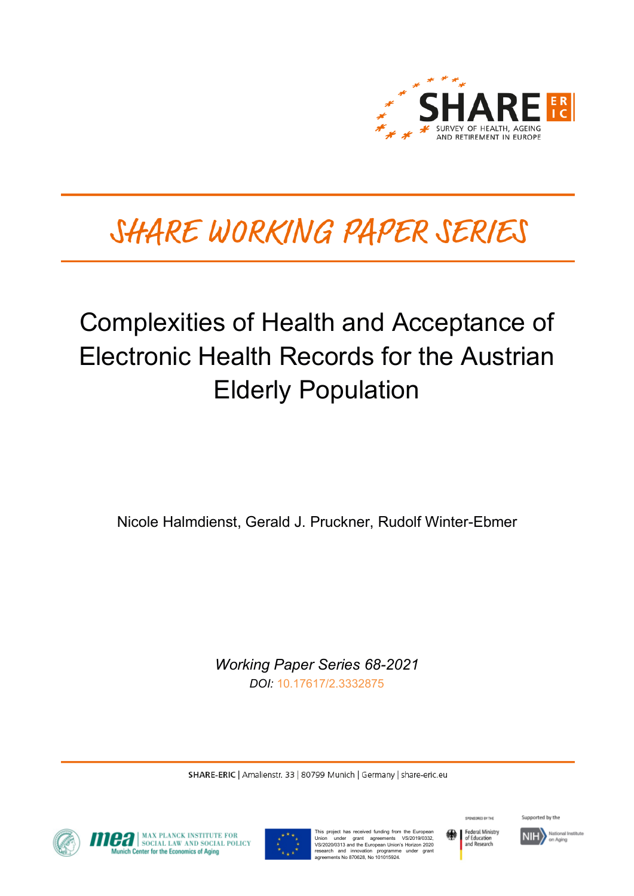

# SHARE WORKING PAPER SERIES

# Complexities of Health and Acceptance of Electronic Health Records for the Austrian Elderly Population

Nicole Halmdienst, Gerald J. Pruckner, Rudolf Winter-Ebmer

*Working Paper Series 68-2021 DOI:* [10.17617/2.3332875](https://doi.org/10.17617/2.3332875)

SHARE-ERIC | Amalienstr. 33 | 80799 Munich | Germany | share-eric.eu



**ORAL MAX PLANCK INSTITUTE FOR SOCIAL POLICY**<br>Munich Center for the Economics of Aging



This project has received funding from the European<br>Union under grant agreements VS/2019/0332,<br>VS/2020/0313 and the European Union's Horizon 2020<br>research and innovation programme under grant<br>agreements No 870628, No 10101



SPONSORED BY THE

Supported by the

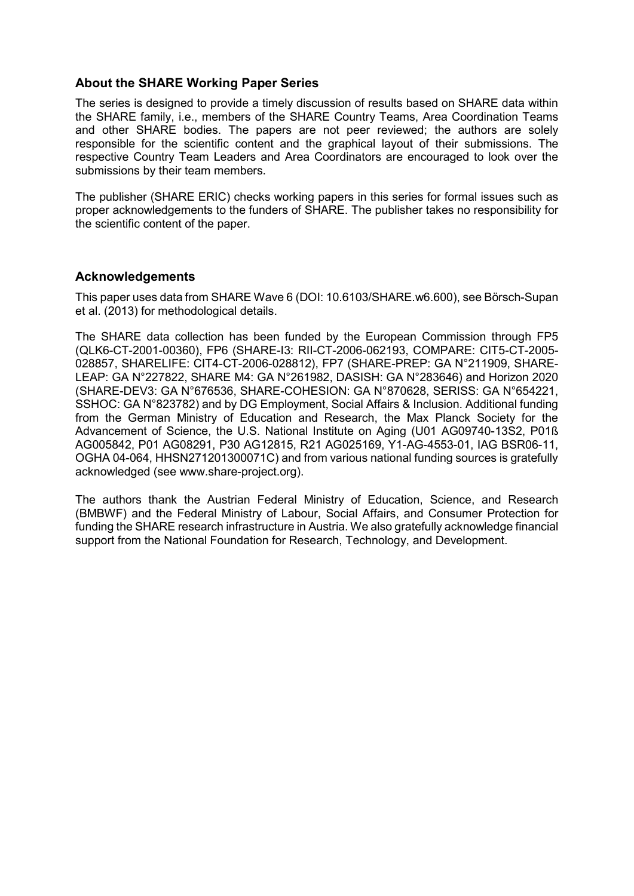#### **About the SHARE Working Paper Series**

The series is designed to provide a timely discussion of results based on SHARE data within the SHARE family, i.e., members of the SHARE Country Teams, Area Coordination Teams and other SHARE bodies. The papers are not peer reviewed; the authors are solely responsible for the scientific content and the graphical layout of their submissions. The respective Country Team Leaders and Area Coordinators are encouraged to look over the submissions by their team members.

The publisher (SHARE ERIC) checks working papers in this series for formal issues such as proper acknowledgements to the funders of SHARE. The publisher takes no responsibility for the scientific content of the paper.

#### **Acknowledgements**

This paper uses data from SHARE Wave 6 (DOI: 10.6103/SHARE.w6.600), see Börsch-Supan et al. (2013) for methodological details.

The SHARE data collection has been funded by the European Commission through FP5 (QLK6-CT-2001-00360), FP6 (SHARE-I3: RII-CT-2006-062193, COMPARE: CIT5-CT-2005- 028857, SHARELIFE: CIT4-CT-2006-028812), FP7 (SHARE-PREP: GA N°211909, SHARE-LEAP: GA N°227822, SHARE M4: GA N°261982, DASISH: GA N°283646) and Horizon 2020 (SHARE-DEV3: GA N°676536, SHARE-COHESION: GA N°870628, SERISS: GA N°654221, SSHOC: GA N°823782) and by DG Employment, Social Affairs & Inclusion. Additional funding from the German Ministry of Education and Research, the Max Planck Society for the Advancement of Science, the U.S. National Institute on Aging (U01 AG09740-13S2, P01ß AG005842, P01 AG08291, P30 AG12815, R21 AG025169, Y1-AG-4553-01, IAG BSR06-11, OGHA 04-064, HHSN271201300071C) and from various national funding sources is gratefully acknowledged (see www.share-project.org).

The authors thank the Austrian Federal Ministry of Education, Science, and Research (BMBWF) and the Federal Ministry of Labour, Social Affairs, and Consumer Protection for funding the SHARE research infrastructure in Austria. We also gratefully acknowledge financial support from the National Foundation for Research, Technology, and Development.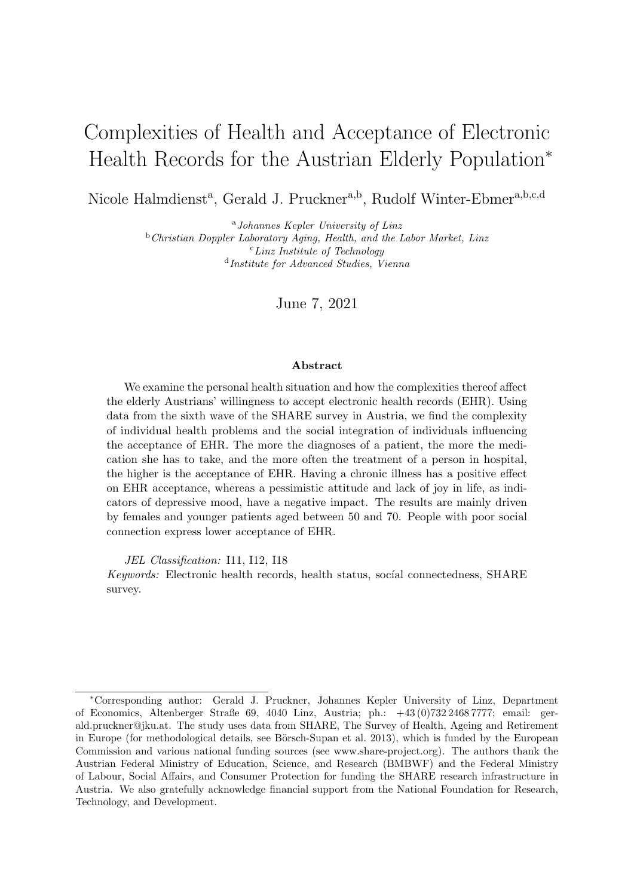## Complexities of Health and Acceptance of Electronic Health Records for the Austrian Elderly Population<sup>∗</sup>

Nicole Halmdienst<sup>a</sup>, Gerald J. Pruckner<sup>a,b</sup>, Rudolf Winter-Ebmer<sup>a,b,c,d</sup>

<sup>a</sup>Johannes Kepler University of Linz <sup>b</sup>Christian Doppler Laboratory Aging, Health, and the Labor Market, Linz  $c$ *Linz Institute of Technology* d Institute for Advanced Studies, Vienna

June 7, 2021

#### Abstract

We examine the personal health situation and how the complexities thereof affect the elderly Austrians' willingness to accept electronic health records (EHR). Using data from the sixth wave of the SHARE survey in Austria, we find the complexity of individual health problems and the social integration of individuals influencing the acceptance of EHR. The more the diagnoses of a patient, the more the medication she has to take, and the more often the treatment of a person in hospital, the higher is the acceptance of EHR. Having a chronic illness has a positive effect on EHR acceptance, whereas a pessimistic attitude and lack of joy in life, as indicators of depressive mood, have a negative impact. The results are mainly driven by females and younger patients aged between 50 and 70. People with poor social connection express lower acceptance of EHR.

JEL Classification: I11, I12, I18

Keywords: Electronic health records, health status, social connectedness, SHARE survey.

<sup>∗</sup>Corresponding author: Gerald J. Pruckner, Johannes Kepler University of Linz, Department of Economics, Altenberger Straße 69, 4040 Linz, Austria; ph.: +43 (0)732 2468 7777; email: gerald.pruckner@jku.at. The study uses data from SHARE, The Survey of Health, Ageing and Retirement in Europe (for methodological details, see Börsch-Supan et al. 2013), which is funded by the European Commission and various national funding sources (see www.share-project.org). The authors thank the Austrian Federal Ministry of Education, Science, and Research (BMBWF) and the Federal Ministry of Labour, Social Affairs, and Consumer Protection for funding the SHARE research infrastructure in Austria. We also gratefully acknowledge financial support from the National Foundation for Research, Technology, and Development.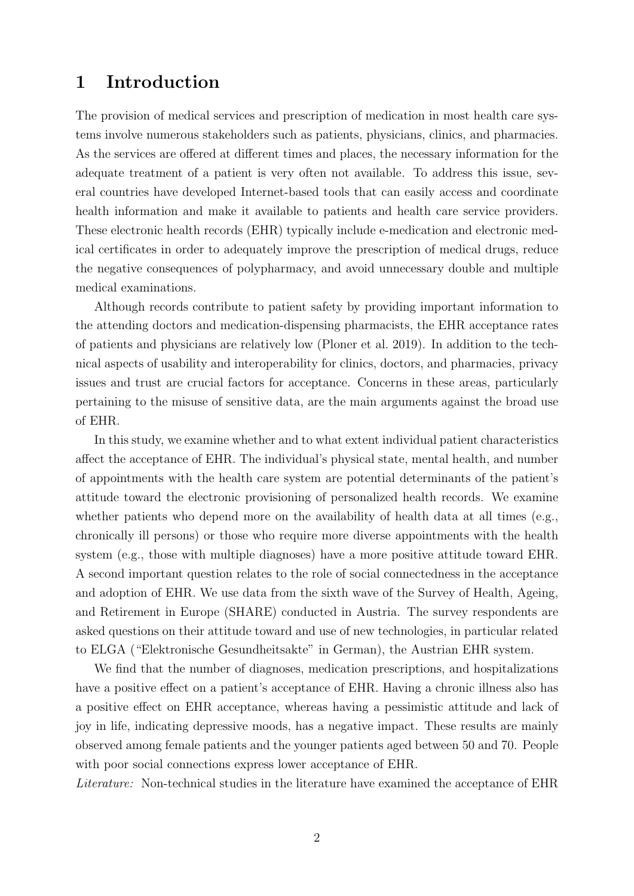#### 1 Introduction

The provision of medical services and prescription of medication in most health care systems involve numerous stakeholders such as patients, physicians, clinics, and pharmacies. As the services are offered at different times and places, the necessary information for the adequate treatment of a patient is very often not available. To address this issue, several countries have developed Internet-based tools that can easily access and coordinate health information and make it available to patients and health care service providers. These electronic health records (EHR) typically include e-medication and electronic medical certificates in order to adequately improve the prescription of medical drugs, reduce the negative consequences of polypharmacy, and avoid unnecessary double and multiple medical examinations.

Although records contribute to patient safety by providing important information to the attending doctors and medication-dispensing pharmacists, the EHR acceptance rates of patients and physicians are relatively low (Ploner et al. 2019). In addition to the technical aspects of usability and interoperability for clinics, doctors, and pharmacies, privacy issues and trust are crucial factors for acceptance. Concerns in these areas, particularly pertaining to the misuse of sensitive data, are the main arguments against the broad use of EHR.

In this study, we examine whether and to what extent individual patient characteristics affect the acceptance of EHR. The individual's physical state, mental health, and number of appointments with the health care system are potential determinants of the patient's attitude toward the electronic provisioning of personalized health records. We examine whether patients who depend more on the availability of health data at all times (e.g., chronically ill persons) or those who require more diverse appointments with the health system (e.g., those with multiple diagnoses) have a more positive attitude toward EHR. A second important question relates to the role of social connectedness in the acceptance and adoption of EHR. We use data from the sixth wave of the Survey of Health, Ageing, and Retirement in Europe (SHARE) conducted in Austria. The survey respondents are asked questions on their attitude toward and use of new technologies, in particular related to ELGA ("Elektronische Gesundheitsakte" in German), the Austrian EHR system.

We find that the number of diagnoses, medication prescriptions, and hospitalizations have a positive effect on a patient's acceptance of EHR. Having a chronic illness also has a positive effect on EHR acceptance, whereas having a pessimistic attitude and lack of joy in life, indicating depressive moods, has a negative impact. These results are mainly observed among female patients and the younger patients aged between 50 and 70. People with poor social connections express lower acceptance of EHR.

Literature: Non-technical studies in the literature have examined the acceptance of EHR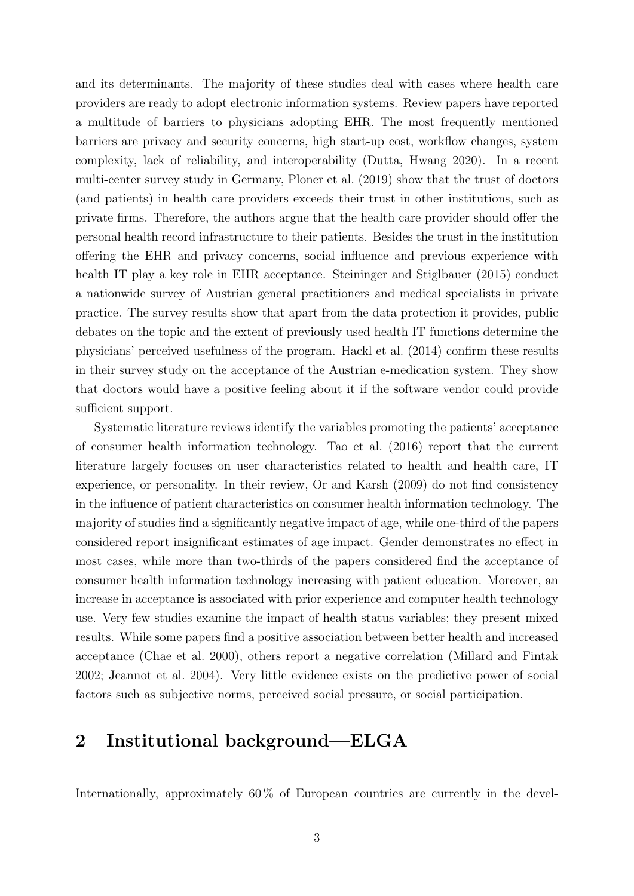and its determinants. The majority of these studies deal with cases where health care providers are ready to adopt electronic information systems. Review papers have reported a multitude of barriers to physicians adopting EHR. The most frequently mentioned barriers are privacy and security concerns, high start-up cost, workflow changes, system complexity, lack of reliability, and interoperability (Dutta, Hwang 2020). In a recent multi-center survey study in Germany, Ploner et al. (2019) show that the trust of doctors (and patients) in health care providers exceeds their trust in other institutions, such as private firms. Therefore, the authors argue that the health care provider should offer the personal health record infrastructure to their patients. Besides the trust in the institution offering the EHR and privacy concerns, social influence and previous experience with health IT play a key role in EHR acceptance. Steininger and Stiglbauer (2015) conduct a nationwide survey of Austrian general practitioners and medical specialists in private practice. The survey results show that apart from the data protection it provides, public debates on the topic and the extent of previously used health IT functions determine the physicians' perceived usefulness of the program. Hackl et al. (2014) confirm these results in their survey study on the acceptance of the Austrian e-medication system. They show that doctors would have a positive feeling about it if the software vendor could provide sufficient support.

Systematic literature reviews identify the variables promoting the patients' acceptance of consumer health information technology. Tao et al. (2016) report that the current literature largely focuses on user characteristics related to health and health care, IT experience, or personality. In their review, Or and Karsh (2009) do not find consistency in the influence of patient characteristics on consumer health information technology. The majority of studies find a significantly negative impact of age, while one-third of the papers considered report insignificant estimates of age impact. Gender demonstrates no effect in most cases, while more than two-thirds of the papers considered find the acceptance of consumer health information technology increasing with patient education. Moreover, an increase in acceptance is associated with prior experience and computer health technology use. Very few studies examine the impact of health status variables; they present mixed results. While some papers find a positive association between better health and increased acceptance (Chae et al. 2000), others report a negative correlation (Millard and Fintak 2002; Jeannot et al. 2004). Very little evidence exists on the predictive power of social factors such as subjective norms, perceived social pressure, or social participation.

## 2 Institutional background—ELGA

Internationally, approximately 60% of European countries are currently in the devel-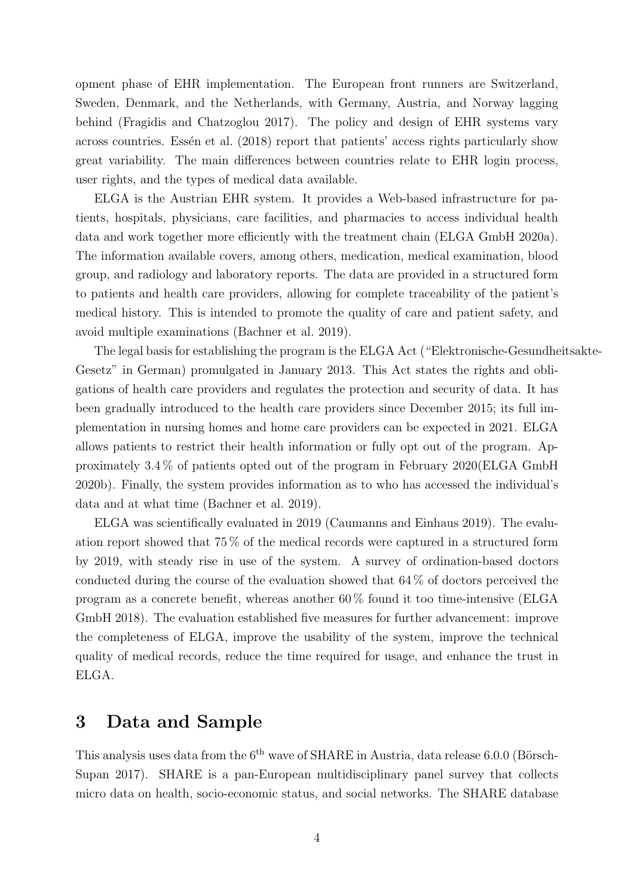opment phase of EHR implementation. The European front runners are Switzerland, Sweden, Denmark, and the Netherlands, with Germany, Austria, and Norway lagging behind (Fragidis and Chatzoglou 2017). The policy and design of EHR systems vary across countries. Essén et al. (2018) report that patients' access rights particularly show great variability. The main differences between countries relate to EHR login process, user rights, and the types of medical data available.

ELGA is the Austrian EHR system. It provides a Web-based infrastructure for patients, hospitals, physicians, care facilities, and pharmacies to access individual health data and work together more efficiently with the treatment chain (ELGA GmbH 2020a). The information available covers, among others, medication, medical examination, blood group, and radiology and laboratory reports. The data are provided in a structured form to patients and health care providers, allowing for complete traceability of the patient's medical history. This is intended to promote the quality of care and patient safety, and avoid multiple examinations (Bachner et al. 2019).

The legal basis for establishing the program is the ELGA Act ("Elektronische-Gesundheitsakte-Gesetz" in German) promulgated in January 2013. This Act states the rights and obligations of health care providers and regulates the protection and security of data. It has been gradually introduced to the health care providers since December 2015; its full implementation in nursing homes and home care providers can be expected in 2021. ELGA allows patients to restrict their health information or fully opt out of the program. Approximately 3.4 % of patients opted out of the program in February 2020(ELGA GmbH 2020b). Finally, the system provides information as to who has accessed the individual's data and at what time (Bachner et al. 2019).

ELGA was scientifically evaluated in 2019 (Caumanns and Einhaus 2019). The evaluation report showed that 75 % of the medical records were captured in a structured form by 2019, with steady rise in use of the system. A survey of ordination-based doctors conducted during the course of the evaluation showed that 64 % of doctors perceived the program as a concrete benefit, whereas another 60 % found it too time-intensive (ELGA GmbH 2018). The evaluation established five measures for further advancement: improve the completeness of ELGA, improve the usability of the system, improve the technical quality of medical records, reduce the time required for usage, and enhance the trust in ELGA.

## 3 Data and Sample

This analysis uses data from the  $6<sup>th</sup>$  wave of SHARE in Austria, data release 6.0.0 (Börsch-Supan 2017). SHARE is a pan-European multidisciplinary panel survey that collects micro data on health, socio-economic status, and social networks. The SHARE database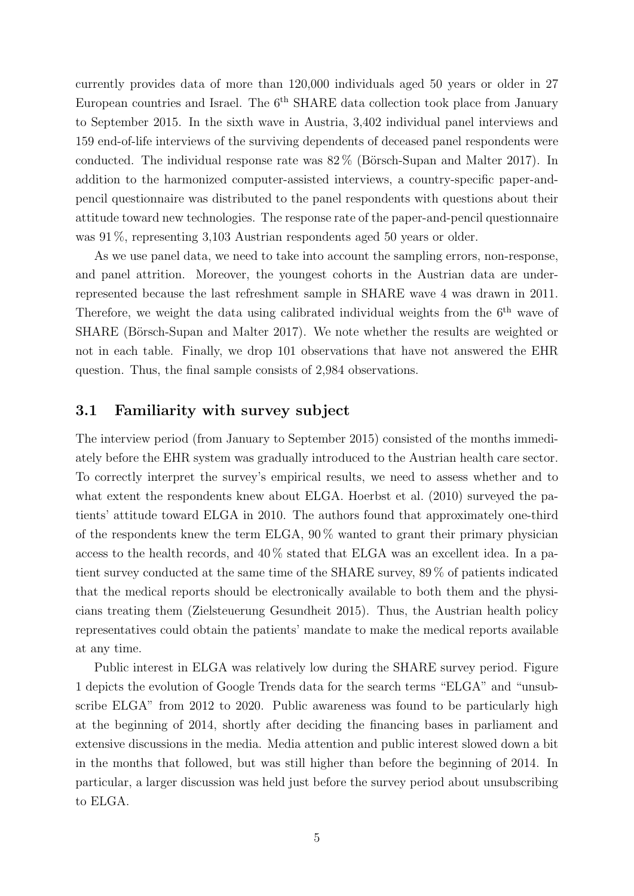currently provides data of more than 120,000 individuals aged 50 years or older in 27 European countries and Israel. The  $6<sup>th</sup> SHARE$  data collection took place from January to September 2015. In the sixth wave in Austria, 3,402 individual panel interviews and 159 end-of-life interviews of the surviving dependents of deceased panel respondents were conducted. The individual response rate was  $82\%$  (Börsch-Supan and Malter 2017). In addition to the harmonized computer-assisted interviews, a country-specific paper-andpencil questionnaire was distributed to the panel respondents with questions about their attitude toward new technologies. The response rate of the paper-and-pencil questionnaire was 91%, representing 3,103 Austrian respondents aged 50 years or older.

As we use panel data, we need to take into account the sampling errors, non-response, and panel attrition. Moreover, the youngest cohorts in the Austrian data are underrepresented because the last refreshment sample in SHARE wave 4 was drawn in 2011. Therefore, we weight the data using calibrated individual weights from the  $6<sup>th</sup>$  wave of SHARE (Börsch-Supan and Malter 2017). We note whether the results are weighted or not in each table. Finally, we drop 101 observations that have not answered the EHR question. Thus, the final sample consists of 2,984 observations.

#### 3.1 Familiarity with survey subject

The interview period (from January to September 2015) consisted of the months immediately before the EHR system was gradually introduced to the Austrian health care sector. To correctly interpret the survey's empirical results, we need to assess whether and to what extent the respondents knew about ELGA. Hoerbst et al. (2010) surveyed the patients' attitude toward ELGA in 2010. The authors found that approximately one-third of the respondents knew the term ELGA, 90 % wanted to grant their primary physician access to the health records, and 40 % stated that ELGA was an excellent idea. In a patient survey conducted at the same time of the SHARE survey, 89 % of patients indicated that the medical reports should be electronically available to both them and the physicians treating them (Zielsteuerung Gesundheit 2015). Thus, the Austrian health policy representatives could obtain the patients' mandate to make the medical reports available at any time.

Public interest in ELGA was relatively low during the SHARE survey period. Figure 1 depicts the evolution of Google Trends data for the search terms "ELGA" and "unsubscribe ELGA" from 2012 to 2020. Public awareness was found to be particularly high at the beginning of 2014, shortly after deciding the financing bases in parliament and extensive discussions in the media. Media attention and public interest slowed down a bit in the months that followed, but was still higher than before the beginning of 2014. In particular, a larger discussion was held just before the survey period about unsubscribing to ELGA.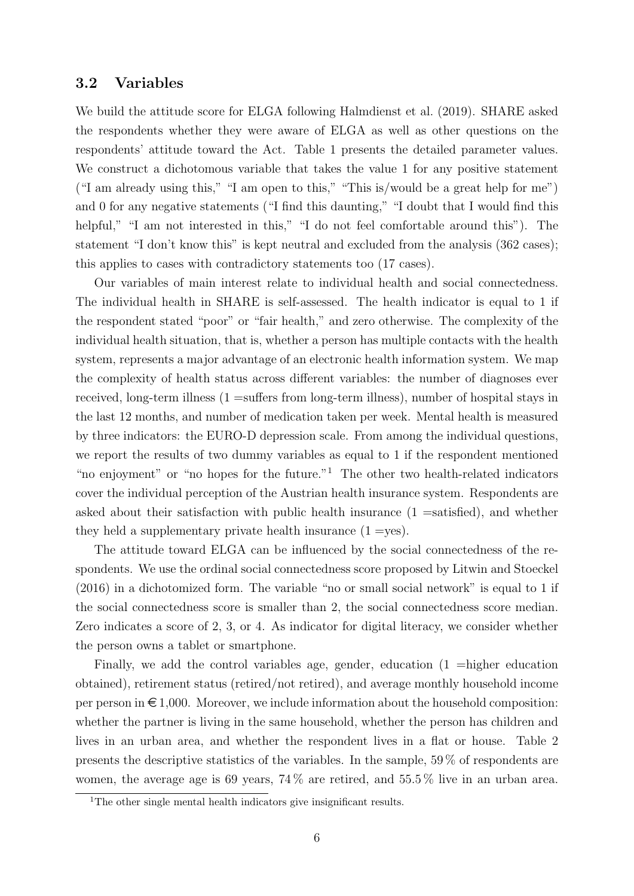#### 3.2 Variables

We build the attitude score for ELGA following Halmdienst et al. (2019). SHARE asked the respondents whether they were aware of ELGA as well as other questions on the respondents' attitude toward the Act. Table 1 presents the detailed parameter values. We construct a dichotomous variable that takes the value 1 for any positive statement ("I am already using this," "I am open to this," "This is/would be a great help for me") and 0 for any negative statements ("I find this daunting," "I doubt that I would find this helpful," "I am not interested in this," "I do not feel comfortable around this"). The statement "I don't know this" is kept neutral and excluded from the analysis (362 cases); this applies to cases with contradictory statements too (17 cases).

Our variables of main interest relate to individual health and social connectedness. The individual health in SHARE is self-assessed. The health indicator is equal to 1 if the respondent stated "poor" or "fair health," and zero otherwise. The complexity of the individual health situation, that is, whether a person has multiple contacts with the health system, represents a major advantage of an electronic health information system. We map the complexity of health status across different variables: the number of diagnoses ever received, long-term illness (1 =suffers from long-term illness), number of hospital stays in the last 12 months, and number of medication taken per week. Mental health is measured by three indicators: the EURO-D depression scale. From among the individual questions, we report the results of two dummy variables as equal to 1 if the respondent mentioned "no enjoyment" or "no hopes for the future."<sup>1</sup> The other two health-related indicators cover the individual perception of the Austrian health insurance system. Respondents are asked about their satisfaction with public health insurance (1 =satisfied), and whether they held a supplementary private health insurance  $(1 = yes)$ .

The attitude toward ELGA can be influenced by the social connectedness of the respondents. We use the ordinal social connectedness score proposed by Litwin and Stoeckel (2016) in a dichotomized form. The variable "no or small social network" is equal to 1 if the social connectedness score is smaller than 2, the social connectedness score median. Zero indicates a score of 2, 3, or 4. As indicator for digital literacy, we consider whether the person owns a tablet or smartphone.

Finally, we add the control variables age, gender, education (1 =higher education obtained), retirement status (retired/not retired), and average monthly household income per person in  $\epsilon$  1,000. Moreover, we include information about the household composition: whether the partner is living in the same household, whether the person has children and lives in an urban area, and whether the respondent lives in a flat or house. Table 2 presents the descriptive statistics of the variables. In the sample, 59 % of respondents are women, the average age is 69 years, 74 % are retired, and 55.5 % live in an urban area.

<sup>&</sup>lt;sup>1</sup>The other single mental health indicators give insignificant results.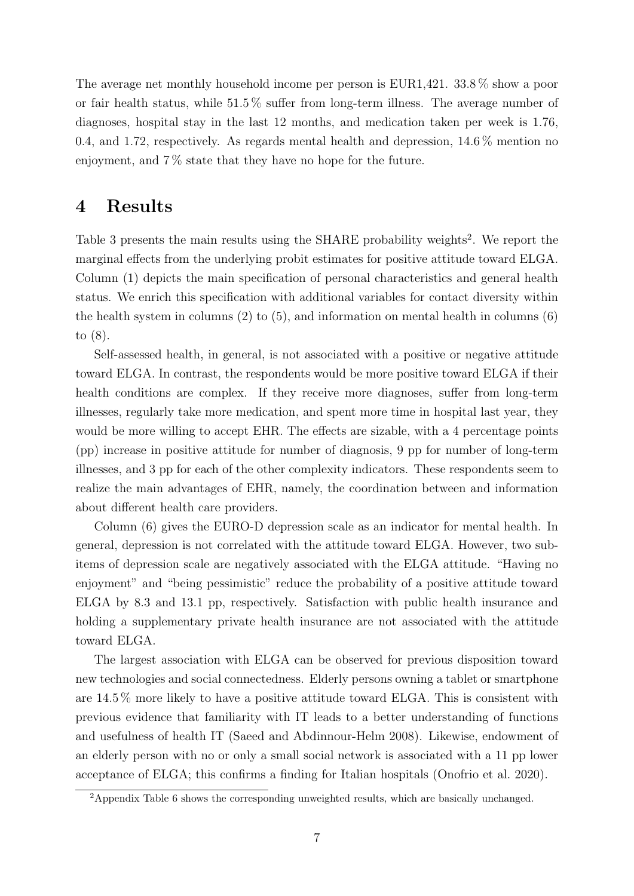The average net monthly household income per person is EUR1,421. 33.8 % show a poor or fair health status, while  $51.5\%$  suffer from long-term illness. The average number of diagnoses, hospital stay in the last 12 months, and medication taken per week is 1.76, 0.4, and 1.72, respectively. As regards mental health and depression, 14.6 % mention no enjoyment, and  $7\%$  state that they have no hope for the future.

## 4 Results

Table 3 presents the main results using the SHARE probability weights<sup>2</sup>. We report the marginal effects from the underlying probit estimates for positive attitude toward ELGA. Column (1) depicts the main specification of personal characteristics and general health status. We enrich this specification with additional variables for contact diversity within the health system in columns  $(2)$  to  $(5)$ , and information on mental health in columns  $(6)$ to (8).

Self-assessed health, in general, is not associated with a positive or negative attitude toward ELGA. In contrast, the respondents would be more positive toward ELGA if their health conditions are complex. If they receive more diagnoses, suffer from long-term illnesses, regularly take more medication, and spent more time in hospital last year, they would be more willing to accept EHR. The effects are sizable, with a 4 percentage points (pp) increase in positive attitude for number of diagnosis, 9 pp for number of long-term illnesses, and 3 pp for each of the other complexity indicators. These respondents seem to realize the main advantages of EHR, namely, the coordination between and information about different health care providers.

Column (6) gives the EURO-D depression scale as an indicator for mental health. In general, depression is not correlated with the attitude toward ELGA. However, two subitems of depression scale are negatively associated with the ELGA attitude. "Having no enjoyment" and "being pessimistic" reduce the probability of a positive attitude toward ELGA by 8.3 and 13.1 pp, respectively. Satisfaction with public health insurance and holding a supplementary private health insurance are not associated with the attitude toward ELGA.

The largest association with ELGA can be observed for previous disposition toward new technologies and social connectedness. Elderly persons owning a tablet or smartphone are 14.5 % more likely to have a positive attitude toward ELGA. This is consistent with previous evidence that familiarity with IT leads to a better understanding of functions and usefulness of health IT (Saeed and Abdinnour-Helm 2008). Likewise, endowment of an elderly person with no or only a small social network is associated with a 11 pp lower acceptance of ELGA; this confirms a finding for Italian hospitals (Onofrio et al. 2020).

<sup>2</sup>Appendix Table 6 shows the corresponding unweighted results, which are basically unchanged.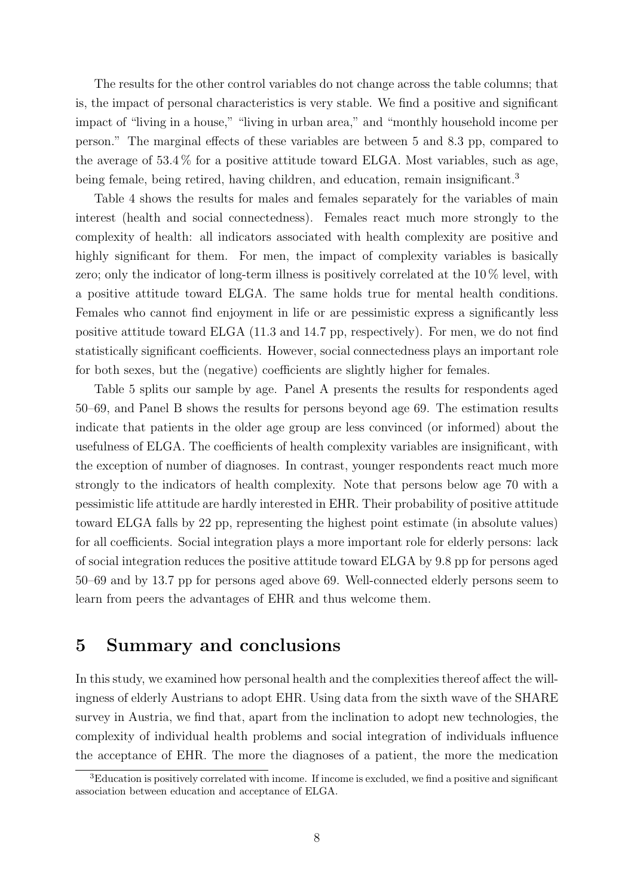The results for the other control variables do not change across the table columns; that is, the impact of personal characteristics is very stable. We find a positive and significant impact of "living in a house," "living in urban area," and "monthly household income per person." The marginal effects of these variables are between 5 and 8.3 pp, compared to the average of  $53.4\%$  for a positive attitude toward ELGA. Most variables, such as age, being female, being retired, having children, and education, remain insignificant.<sup>3</sup>

Table 4 shows the results for males and females separately for the variables of main interest (health and social connectedness). Females react much more strongly to the complexity of health: all indicators associated with health complexity are positive and highly significant for them. For men, the impact of complexity variables is basically zero; only the indicator of long-term illness is positively correlated at the 10 % level, with a positive attitude toward ELGA. The same holds true for mental health conditions. Females who cannot find enjoyment in life or are pessimistic express a significantly less positive attitude toward ELGA (11.3 and 14.7 pp, respectively). For men, we do not find statistically significant coefficients. However, social connectedness plays an important role for both sexes, but the (negative) coefficients are slightly higher for females.

Table 5 splits our sample by age. Panel A presents the results for respondents aged 50–69, and Panel B shows the results for persons beyond age 69. The estimation results indicate that patients in the older age group are less convinced (or informed) about the usefulness of ELGA. The coefficients of health complexity variables are insignificant, with the exception of number of diagnoses. In contrast, younger respondents react much more strongly to the indicators of health complexity. Note that persons below age 70 with a pessimistic life attitude are hardly interested in EHR. Their probability of positive attitude toward ELGA falls by 22 pp, representing the highest point estimate (in absolute values) for all coefficients. Social integration plays a more important role for elderly persons: lack of social integration reduces the positive attitude toward ELGA by 9.8 pp for persons aged 50–69 and by 13.7 pp for persons aged above 69. Well-connected elderly persons seem to learn from peers the advantages of EHR and thus welcome them.

### 5 Summary and conclusions

In this study, we examined how personal health and the complexities thereof affect the willingness of elderly Austrians to adopt EHR. Using data from the sixth wave of the SHARE survey in Austria, we find that, apart from the inclination to adopt new technologies, the complexity of individual health problems and social integration of individuals influence the acceptance of EHR. The more the diagnoses of a patient, the more the medication

<sup>3</sup>Education is positively correlated with income. If income is excluded, we find a positive and significant association between education and acceptance of ELGA.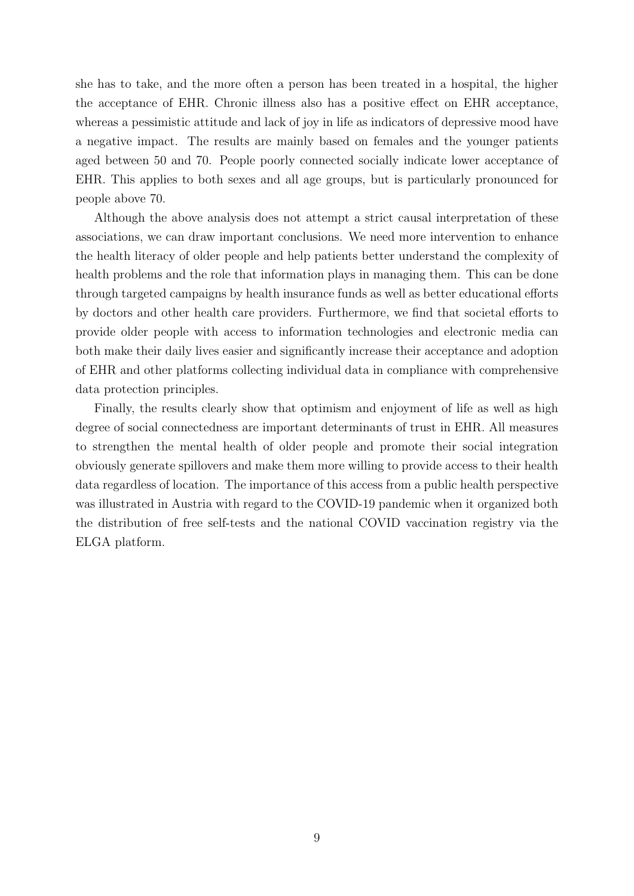she has to take, and the more often a person has been treated in a hospital, the higher the acceptance of EHR. Chronic illness also has a positive effect on EHR acceptance, whereas a pessimistic attitude and lack of joy in life as indicators of depressive mood have a negative impact. The results are mainly based on females and the younger patients aged between 50 and 70. People poorly connected socially indicate lower acceptance of EHR. This applies to both sexes and all age groups, but is particularly pronounced for people above 70.

Although the above analysis does not attempt a strict causal interpretation of these associations, we can draw important conclusions. We need more intervention to enhance the health literacy of older people and help patients better understand the complexity of health problems and the role that information plays in managing them. This can be done through targeted campaigns by health insurance funds as well as better educational efforts by doctors and other health care providers. Furthermore, we find that societal efforts to provide older people with access to information technologies and electronic media can both make their daily lives easier and significantly increase their acceptance and adoption of EHR and other platforms collecting individual data in compliance with comprehensive data protection principles.

Finally, the results clearly show that optimism and enjoyment of life as well as high degree of social connectedness are important determinants of trust in EHR. All measures to strengthen the mental health of older people and promote their social integration obviously generate spillovers and make them more willing to provide access to their health data regardless of location. The importance of this access from a public health perspective was illustrated in Austria with regard to the COVID-19 pandemic when it organized both the distribution of free self-tests and the national COVID vaccination registry via the ELGA platform.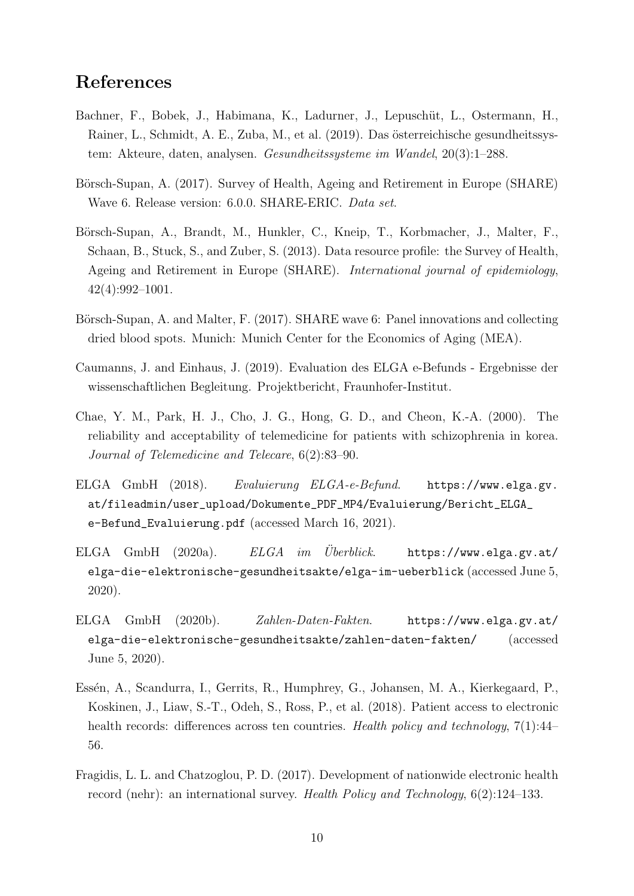### References

- Bachner, F., Bobek, J., Habimana, K., Ladurner, J., Lepuschüt, L., Ostermann, H., Rainer, L., Schmidt, A. E., Zuba, M., et al. (2019). Das österreichische gesundheitssystem: Akteure, daten, analysen. Gesundheitssysteme im Wandel, 20(3):1–288.
- Börsch-Supan, A. (2017). Survey of Health, Ageing and Retirement in Europe (SHARE) Wave 6. Release version: 6.0.0. SHARE-ERIC. Data set.
- Börsch-Supan, A., Brandt, M., Hunkler, C., Kneip, T., Korbmacher, J., Malter, F., Schaan, B., Stuck, S., and Zuber, S. (2013). Data resource profile: the Survey of Health, Ageing and Retirement in Europe (SHARE). International journal of epidemiology, 42(4):992–1001.
- Börsch-Supan, A. and Malter, F. (2017). SHARE wave 6: Panel innovations and collecting dried blood spots. Munich: Munich Center for the Economics of Aging (MEA).
- Caumanns, J. and Einhaus, J. (2019). Evaluation des ELGA e-Befunds Ergebnisse der wissenschaftlichen Begleitung. Projektbericht, Fraunhofer-Institut.
- Chae, Y. M., Park, H. J., Cho, J. G., Hong, G. D., and Cheon, K.-A. (2000). The reliability and acceptability of telemedicine for patients with schizophrenia in korea. Journal of Telemedicine and Telecare, 6(2):83–90.
- ELGA GmbH (2018). Evaluierung ELGA-e-Befund. [https://www.elga.gv.](https://www.elga.gv.at/fileadmin/user_upload/Dokumente_PDF_MP4/Evaluierung/Bericht_ELGA_e-Befund_Evaluierung.pdf) [at/fileadmin/user\\_upload/Dokumente\\_PDF\\_MP4/Evaluierung/Bericht\\_ELGA\\_](https://www.elga.gv.at/fileadmin/user_upload/Dokumente_PDF_MP4/Evaluierung/Bericht_ELGA_e-Befund_Evaluierung.pdf) [e-Befund\\_Evaluierung.pdf](https://www.elga.gv.at/fileadmin/user_upload/Dokumente_PDF_MP4/Evaluierung/Bericht_ELGA_e-Befund_Evaluierung.pdf) (accessed March 16, 2021).
- ELGA GmbH  $(2020a)$ . ELGA im Überblick. [https://www.elga.gv.at/](https://www.elga.gv.at/elga-die-elektronische-gesundheitsakte/elga-im-ueberblick) [elga-die-elektronische-gesundheitsakte/elga-im-ueberblick](https://www.elga.gv.at/elga-die-elektronische-gesundheitsakte/elga-im-ueberblick) (accessed June 5, 2020).
- ELGA GmbH (2020b). Zahlen-Daten-Fakten. [https://www.elga.gv.at/](https://www.elga.gv.at/elga-die-elektronische-gesundheitsakte/zahlen-daten-fakten/) [elga-die-elektronische-gesundheitsakte/zahlen-daten-fakten/](https://www.elga.gv.at/elga-die-elektronische-gesundheitsakte/zahlen-daten-fakten/) (accessed June 5, 2020).
- Essén, A., Scandurra, I., Gerrits, R., Humphrey, G., Johansen, M. A., Kierkegaard, P., Koskinen, J., Liaw, S.-T., Odeh, S., Ross, P., et al. (2018). Patient access to electronic health records: differences across ten countries. Health policy and technology, 7(1):44– 56.
- Fragidis, L. L. and Chatzoglou, P. D. (2017). Development of nationwide electronic health record (nehr): an international survey. Health Policy and Technology, 6(2):124–133.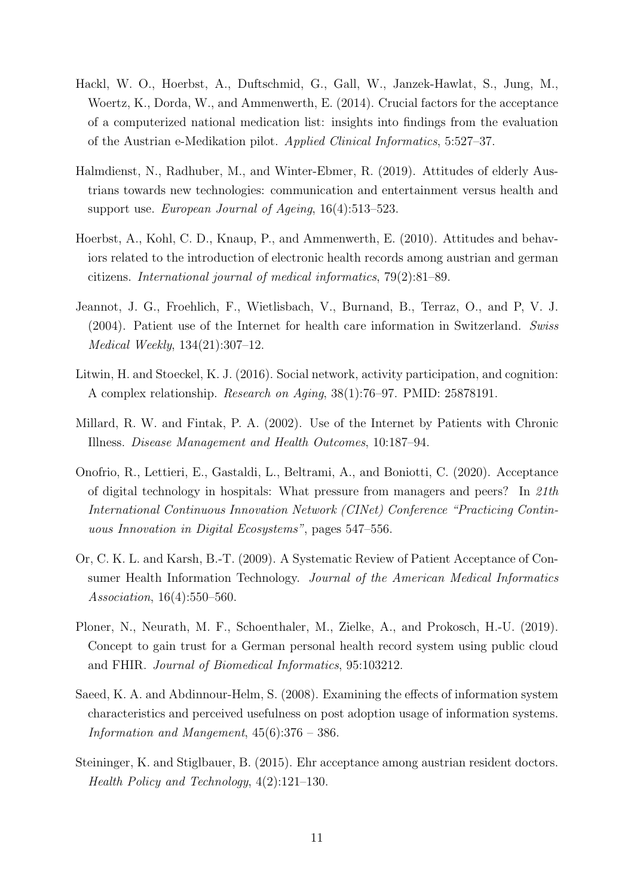- Hackl, W. O., Hoerbst, A., Duftschmid, G., Gall, W., Janzek-Hawlat, S., Jung, M., Woertz, K., Dorda, W., and Ammenwerth, E. (2014). Crucial factors for the acceptance of a computerized national medication list: insights into findings from the evaluation of the Austrian e-Medikation pilot. Applied Clinical Informatics, 5:527–37.
- Halmdienst, N., Radhuber, M., and Winter-Ebmer, R. (2019). Attitudes of elderly Austrians towards new technologies: communication and entertainment versus health and support use. European Journal of Ageing, 16(4):513-523.
- Hoerbst, A., Kohl, C. D., Knaup, P., and Ammenwerth, E. (2010). Attitudes and behaviors related to the introduction of electronic health records among austrian and german citizens. International journal of medical informatics, 79(2):81–89.
- Jeannot, J. G., Froehlich, F., Wietlisbach, V., Burnand, B., Terraz, O., and P, V. J. (2004). Patient use of the Internet for health care information in Switzerland. Swiss Medical Weekly, 134(21):307–12.
- Litwin, H. and Stoeckel, K. J. (2016). Social network, activity participation, and cognition: A complex relationship. Research on Aging, 38(1):76–97. PMID: 25878191.
- Millard, R. W. and Fintak, P. A. (2002). Use of the Internet by Patients with Chronic Illness. Disease Management and Health Outcomes, 10:187–94.
- Onofrio, R., Lettieri, E., Gastaldi, L., Beltrami, A., and Boniotti, C. (2020). Acceptance of digital technology in hospitals: What pressure from managers and peers? In 21th International Continuous Innovation Network (CINet) Conference "Practicing Continuous Innovation in Digital Ecosystems", pages 547–556.
- Or, C. K. L. and Karsh, B.-T. (2009). A Systematic Review of Patient Acceptance of Consumer Health Information Technology. Journal of the American Medical Informatics Association, 16(4):550–560.
- Ploner, N., Neurath, M. F., Schoenthaler, M., Zielke, A., and Prokosch, H.-U. (2019). Concept to gain trust for a German personal health record system using public cloud and FHIR. Journal of Biomedical Informatics, 95:103212.
- Saeed, K. A. and Abdinnour-Helm, S. (2008). Examining the effects of information system characteristics and perceived usefulness on post adoption usage of information systems. Information and Mangement,  $45(6):376 - 386$ .
- Steininger, K. and Stiglbauer, B. (2015). Ehr acceptance among austrian resident doctors. Health Policy and Technology, 4(2):121–130.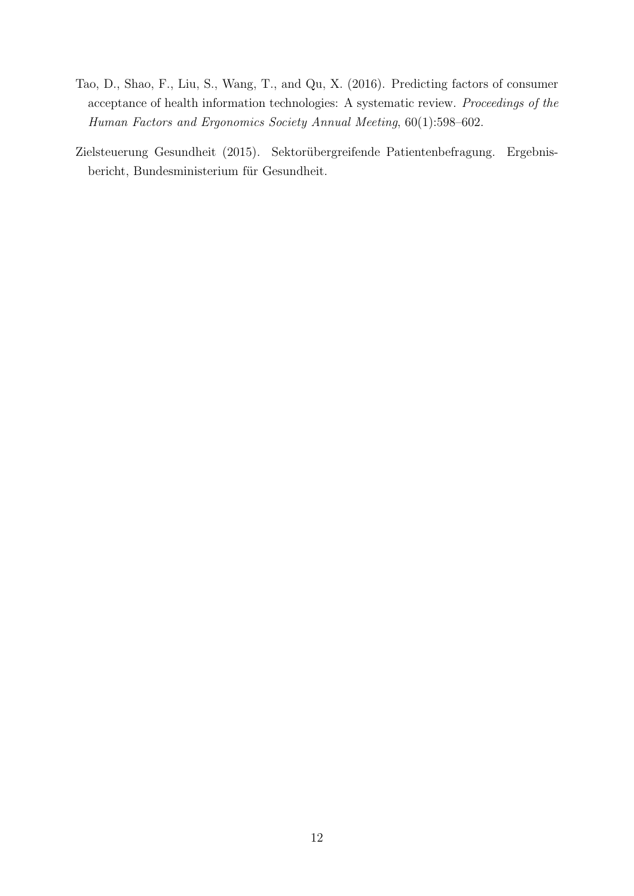- Tao, D., Shao, F., Liu, S., Wang, T., and Qu, X. (2016). Predicting factors of consumer acceptance of health information technologies: A systematic review. Proceedings of the Human Factors and Ergonomics Society Annual Meeting, 60(1):598–602.
- Zielsteuerung Gesundheit (2015). Sektorübergreifende Patientenbefragung. Ergebnisbericht, Bundesministerium für Gesundheit.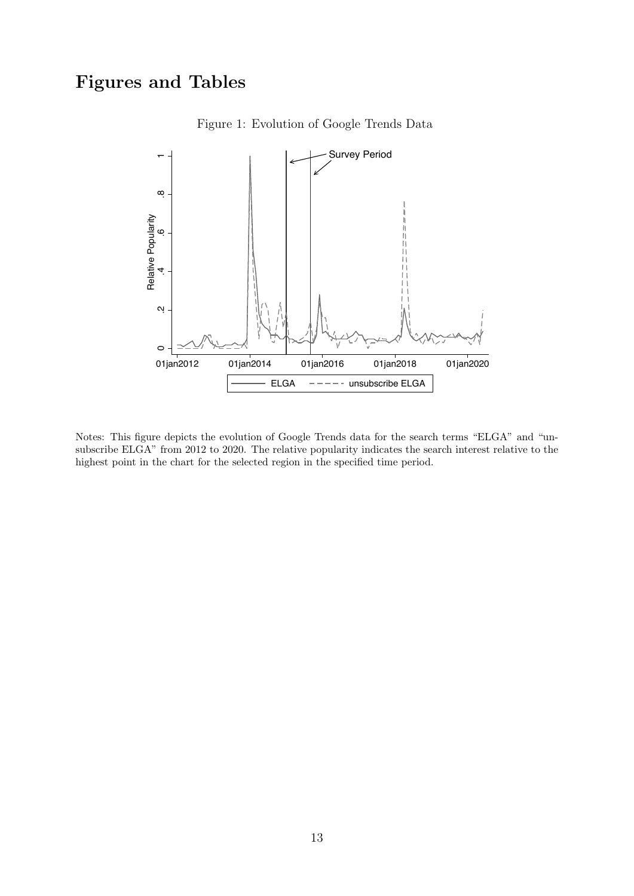## Figures and Tables



Figure 1: Evolution of Google Trends Data

Notes: This figure depicts the evolution of Google Trends data for the search terms "ELGA" and "unsubscribe ELGA" from 2012 to 2020. The relative popularity indicates the search interest relative to the highest point in the chart for the selected region in the specified time period.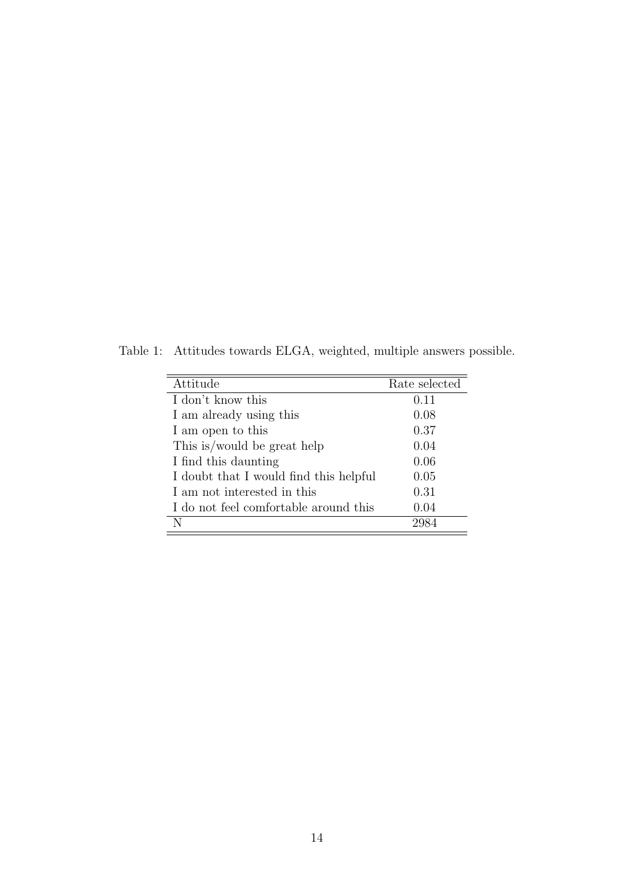Table 1: Attitudes towards ELGA, weighted, multiple answers possible.

| Attitude                               | Rate selected |
|----------------------------------------|---------------|
| I don't know this                      | 0.11          |
| I am already using this                | 0.08          |
| I am open to this                      | 0.37          |
| This is/would be great help            | 0.04          |
| I find this daunting                   | 0.06          |
| I doubt that I would find this helpful | 0.05          |
| I am not interested in this            | 0.31          |
| I do not feel comfortable around this  | 0.04          |
| N                                      |               |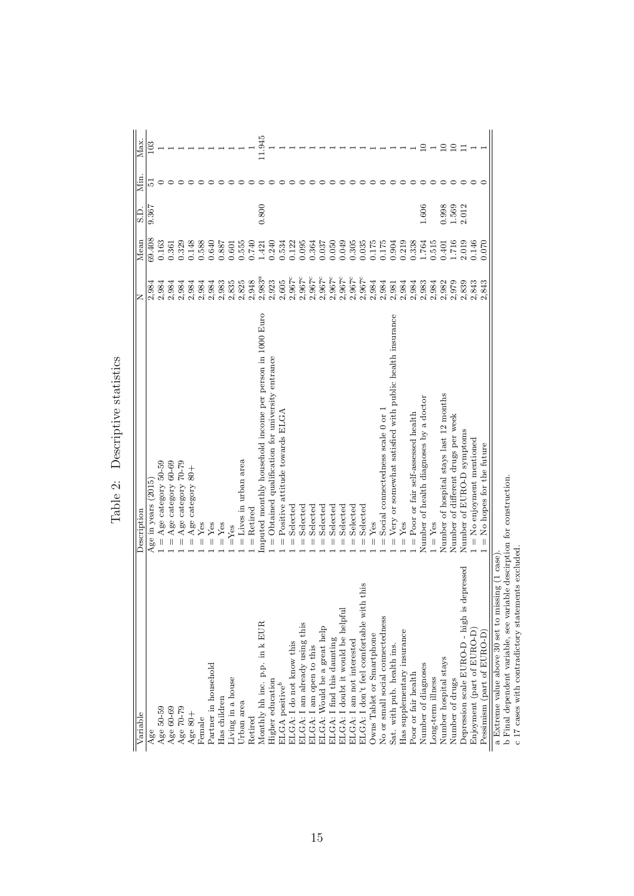| Variable                                                                                                  | Description                                                                        | z                  | Mean   | S.D.  | Min | Max.  |
|-----------------------------------------------------------------------------------------------------------|------------------------------------------------------------------------------------|--------------------|--------|-------|-----|-------|
| Age                                                                                                       | ge in years (2015)                                                                 | 2,984              | 69.408 | 9.367 |     |       |
| $\begin{array}{l} \text{Age 50-59} \\ \text{Age 60-69} \\ \text{Age 70-79} \\ \text{Age 80+} \end{array}$ | Age category 50-59<br>$\parallel$                                                  | 2,984              | 0.163  |       |     |       |
|                                                                                                           | Age category 60-69<br>$\overline{\mathbf{u}}$                                      | 2,984              | 0.361  |       |     |       |
|                                                                                                           | Age category 70-79<br>$\overline{\mathbf{I}}$                                      | 2,984              | 0.329  |       |     |       |
|                                                                                                           | Age category 80+                                                                   | 2,984              | 0.148  |       |     |       |
| Female                                                                                                    | $Y$ es                                                                             | 2,984              | 0.588  |       |     |       |
| Partner in household                                                                                      | $=$ Yes                                                                            | 2,984              | 0.640  |       |     |       |
| Has children                                                                                              | $=$ Yes                                                                            | 2,983              | 0.887  |       |     |       |
| Living in a house                                                                                         | $=Y$ es                                                                            | 2,835              | 0.601  |       |     |       |
| Urban area                                                                                                | $=$ Lives in urban area                                                            | 2,825              | 0.555  |       |     |       |
| Retired                                                                                                   | $=$ Retired                                                                        | 2,948              | 0.740  |       |     |       |
| Monthly hh inc. p.p. in k EUR                                                                             | Imputed monthly household income per person in 1000 Euro                           | $2{,}983^a$        | 1.421  | 0.800 |     | 1.945 |
| Higher education                                                                                          | Obtained qualification for university entrance<br>$\parallel$                      | 2,923              | 0.240  |       |     |       |
| ELGA positive <sup>b</sup>                                                                                | Positive attitude towards ELGA<br>$\parallel$                                      | 2,605              | 0.534  |       |     |       |
| ELGA: I do not know this                                                                                  | Selected<br>$\parallel$                                                            | 2,967c             | 0.122  |       |     |       |
| ELGA: I am already using this                                                                             | Selected<br>$\mathsf{I}$                                                           | 2,967 <sup>c</sup> | 0.095  |       |     |       |
| ELGA: I am open to this                                                                                   | Selected<br>$\mathsf{I}$                                                           | 2,967 <sup>c</sup> | 0.364  |       |     |       |
| ELGA: Would be a great help                                                                               | Selected<br>$\mathbf{I}$                                                           | $2,967^c$          | 0.037  |       |     |       |
| ELGA: I find this daunting                                                                                | Selected                                                                           | $2{,}967^c$        | 0.050  |       |     |       |
| ELGA: I doubt it would be helpful                                                                         | Selected                                                                           | $2{,}967^c$        | 0.049  |       |     |       |
| ELGA: I am not interested                                                                                 | Selected                                                                           | $2,967^c$          | 0.305  |       |     |       |
| ELGA: I don't feel comfortable with this                                                                  | Selected<br>$\mathbf{I}$                                                           | $2{,}967^c$        | 0.035  |       |     |       |
| Owns Tablet or Smartphone                                                                                 | Yes<br>$\mathsf{I}$                                                                | 2,984              | 0.175  |       |     |       |
| No or small social connectedness                                                                          | Social connectedness scale 0 or 1<br>$\overline{\mathbf{u}}$                       | 2,984              | 0.175  |       |     |       |
| Sat. with pub. health ins.                                                                                | Very or somewhat satisfied with public health insurance<br>$\overline{\mathsf{I}}$ | 2,981              | 0.904  |       |     |       |
| Has supplementary insurance                                                                               | $\ensuremath{\mathrm{Yes}}$<br>$\parallel$                                         | 2,984              | 0.219  |       |     |       |
| Poor or fair health                                                                                       | = Poor or fair self-assessed health                                                | 2,984              | 0.338  |       |     |       |
| Number of diagnoses                                                                                       | Number of health diagnoses by a doctor                                             | 2,983              | 1.764  | 1.606 |     |       |
| Long-term illness                                                                                         | $1 = Y$ es                                                                         | 2,984              | 0.515  |       |     |       |
| Number hospital stays                                                                                     | Number of hospital stays last 12 months                                            | 2,982              | 0.401  | 0.998 |     | ≘     |
| Number of drugs                                                                                           | Number of different drugs per week                                                 | 2,979              | 1.716  | 1.569 |     | ≘     |
| depressed<br>Depression scale EURO-D - high is                                                            | Number of EURO-D symptoms                                                          | 2,839              | 2.019  | 2.012 |     |       |
| Enjoyment (part of EURO-D                                                                                 | $=$ No enjoyment mentioned                                                         | 2,843              | 0.146  |       |     |       |
| Pessimism (part of EURO-D)                                                                                | No hopes for the future<br>$\parallel$                                             | 2,843              | 0.070  |       |     |       |
| ssing (1 case)<br>a Extreme value above 30 set to mi                                                      |                                                                                    |                    |        |       |     |       |

Table 2: Descriptive statistics Table 2: Descriptive statistics

b Final dependent variable, see variable descirption for construction.  $c$  17 cases with contradictory statements excluded. b Final dependent variable, see variable descirption for construction. c 17 cases with contradictory statements excluded.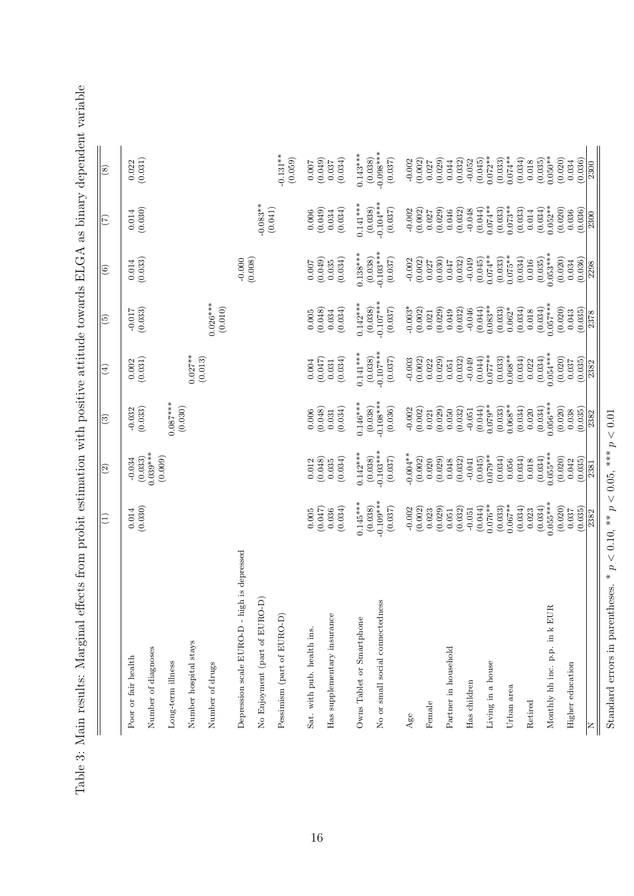| Poor or fair health                         | (0.030)<br>0.014                  | (0.033)<br>$-0.034$              | (0.033)<br>$-0.032$               | (0.002)                           | (0.033)<br>$-0.017$               | (0.033)<br>0.014                  | (0.030)<br>0.014                  | (0.031)<br>0.022                  |
|---------------------------------------------|-----------------------------------|----------------------------------|-----------------------------------|-----------------------------------|-----------------------------------|-----------------------------------|-----------------------------------|-----------------------------------|
| Number of diagnoses                         |                                   | $0.039***$                       |                                   |                                   |                                   |                                   |                                   |                                   |
| Long-term illness                           |                                   | (0.009)                          | $0.087***$                        |                                   |                                   |                                   |                                   |                                   |
| Number hospital stays                       |                                   |                                  | (0.030)                           | $0.027**$<br>(0.013)              |                                   |                                   |                                   |                                   |
| Number of drugs                             |                                   |                                  |                                   |                                   | $0.026***$<br>(0.010)             |                                   |                                   |                                   |
| Depression scale EURO-D - high is depressed |                                   |                                  |                                   |                                   |                                   | $-0.000$                          |                                   |                                   |
| No Enjoyment (part of EURO-D)               |                                   |                                  |                                   |                                   |                                   | (0.008)                           | $-0.083**$                        |                                   |
| Pessimism (part of EURO-D)                  |                                   |                                  |                                   |                                   |                                   |                                   | (0.041)                           | $-0.131**$<br>(0.059)             |
| Sat. with pub. health ins.                  | 0.005                             | 0.012                            | 0.006                             | (0.047)<br>0.004                  | (0.048)<br>0.005                  | 0.007                             | (0.049)<br>0.006                  | 0.007                             |
| Has supplementary insurance                 | (0.034)<br>(0.047)<br>0.036       | (0.048)<br>(0.034)<br>0.035      | (0.048)<br>(0.034)<br>0.031       | (0.034)<br>0.031                  | (0.034)<br>0.034                  | (0.049)<br>(0.034)<br>0.035       | (0.034)<br>0.034                  | (0.049)<br>(0.034)<br>0.037       |
| Owns Tablet or Smartphone                   | $0.145***$                        | $0.142***$                       | $0.146***$                        | $0.141***$                        | $0.142***$                        | $0.138***$                        | $0.141***$                        | $0.143***$                        |
| No or small social connectedness            | $-0.109***$<br>(0.038)<br>(0.037) | $0.103***$<br>(0.038)<br>(0.037) | $-0.108***$<br>(0.038)<br>(0.036) | $-0.107***$<br>(0.038)<br>(0.037) | $-0.107***$<br>(0.038)<br>(0.037) | $-0.103***$<br>(0.038)<br>(0.037) | $-0.104***$<br>(0.038)<br>(0.037) | $-0.098***$<br>(0.038)<br>(0.037) |
| Age                                         | (0.002)<br>$-0.002$               | $0.004**$                        | (0.002)<br>$-0.002$               | $-0.003$                          | $-0.003*$                         | $-0.002$                          | $-0.002$                          | (0.002)<br>$-0.002$               |
| Female                                      | 0.023                             | (0.002)<br>0.020                 | 0.021                             | (0.002)<br>0.022                  | (0.002)<br>0.021                  | (0.002)<br>0.027                  | (0.002)<br>0.027                  | 0.027                             |
| Partner in household                        | (0.029)<br>0.051                  | (0.029)<br>$0.048\,$             | (0.029)<br>0.050                  | (0.029)<br>0.051                  | (0.029)<br>0.049                  | (0.030)<br>0.047                  | (0.029)<br>0.046                  | (0.029)<br>0.044                  |
| Has children                                | (0.032)<br>$-0.051$               | (0.032)<br>$-0.041$              | (0.032)<br>$-0.051$               | (0.032)<br>$-0.049$               | (0.032)<br>$-0.046$               | (0.032)<br>$-0.049$               | (0.032)<br>$-0.048$               | (0.032)<br>$-0.052$               |
| Living in a house                           | $0.076**$<br>(0.044)              | $0.079**$<br>(0.045)             | $0.079**$<br>(0.044)              | $0.077***$<br>(0.044)             | $0.083**$<br>(0.044)              | $0.074**$<br>(0.045)              | $0.074**$<br>(0.044)              | $0.072**$<br>(0.045)              |
| Urban area                                  | $0.067**$<br>(0.033)              | (0.034)<br>0.056                 | $0.068**$<br>(0.033)              | $0.068**$<br>(0.033)              | $0.062*$<br>(0.033)               | $0.075**$<br>(0.033)              | $0.073**$<br>(0.033)              | $0.074***$<br>(0.033)             |
| Retired                                     | (0.034)<br>0.023                  | (0.034)<br>0.018                 | (0.034)<br>0.020                  | (0.034)<br>0.022                  | (0.034)<br>0.018                  | (0.034)<br>0.016                  | (0.033)<br>0.014                  | (0.034)<br>0.018                  |
|                                             | $0.055***$<br>(0.034)             | $0.055***$<br>(0.034)            | $0.056***$<br>(0.034)             | $0.054***$<br>(0.034)             | $0.057***$<br>(0.034)             | $0.053***$<br>(0.035)             | (0.034)                           | $0.050**$<br>(0.035)              |
| Monthly hh inc. p.p. in k EUR               | (0.020)                           | (0.020)                          | (0.020)                           | (0.020)                           | (0.020)                           | (0.020)                           | $0.052***$<br>(0.020)             | (0.020)                           |
| Higher education                            | 0.037                             | 0.042                            | (0.035)<br>0.038                  | (0.035)<br>0.037                  | (0.035)<br>0.043                  | (0.036)<br>0.034                  | (0.036)<br>0.036                  | 0.034                             |
|                                             | (0.035)                           | (0.035)                          |                                   |                                   |                                   |                                   |                                   | (0.036)                           |

Standard errors in parentheses. \*  $p < 0.10$ , \*\*  $p < 0.05$ , \*\*\*  $p < 0.01$ 

Standard errors in parentheses. \* $p<0.10,$  \*\*  $p<0.05,$  \*\*\*  $p<0.01$ 

Table 3: Main results: Marginal effects from probit estimation with positive attitude towards ELGA as binary dependent variable Table 3: Main results: Marginal effects from probit estimation with positive attitude towards ELGA as binary dependent variable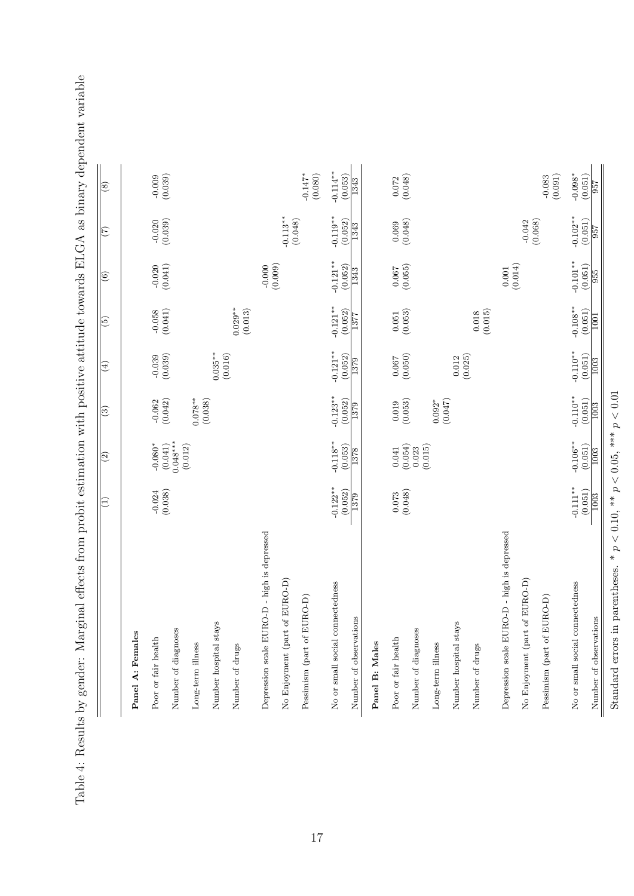Table 4: Results by gender: Marginal effects from probit estimation with positive attitude towards ELGA as binary dependent variable Table 4: Results by gender: Marginal effects from probit estimation with positive attitude towards ELGA as binary dependent variable

|                                             | $\left( \exists\right)$     | $\bigcirc$                   | $\left( \frac{3}{2} \right)$ | $\left( 4\right)$           | $\boxed{5}$                  | $\circledg$               | $\widehat{(\mathcal{I})}$   | $\circled{s}$               |
|---------------------------------------------|-----------------------------|------------------------------|------------------------------|-----------------------------|------------------------------|---------------------------|-----------------------------|-----------------------------|
| Panel A: Females                            |                             |                              |                              |                             |                              |                           |                             |                             |
| Poor or fair health                         | $-0.024$                    | $-0.080*$<br>(0.041)         | (0.042)<br>$-0.062$          | (6.0000)                    | (0.041)                      | $-0.020$                  | $-0.020$                    | (6.600)                     |
| Number of diagnoses                         | (0.038)                     | $0.048***$<br>(0.012)        |                              |                             |                              | (0.041)                   | (0.039)                     |                             |
| Long-term illness                           |                             |                              | $0.078**$                    |                             |                              |                           |                             |                             |
| Number hospital stays                       |                             |                              | (0.038)                      | $0.035***$                  |                              |                           |                             |                             |
| Number of drugs                             |                             |                              |                              | (0.016)                     | $0.029**$<br>(0.013)         |                           |                             |                             |
| Depression scale EURO-D - high is depressed |                             |                              |                              |                             |                              | $-0.000$<br>(0.009)       |                             |                             |
| of EURO-D)<br>No Enjoyment (part            |                             |                              |                              |                             |                              |                           | $-0.113**$                  |                             |
| Pessimism (part of EURO-D)                  |                             |                              |                              |                             |                              |                           | (0.048)                     | $-0.147*$<br>(0.080)        |
| No or small social connectedness            | $-0.122**$<br>(0.052)       | $-0.118**$<br>(0.053)        | $-0.123**$<br>(0.052)        | $-0.121**$<br>(0.052)       | $-0.121**$<br>(0.052)        | $-0.121**$<br>(0.052)     | $-0.119**$<br>(0.052)       | $-0.114**$<br>(0.053)       |
| Number of observations                      | 1379                        | 1378                         | $\frac{625}{2}$              | 1379                        | 1377                         | 1343                      | 1343                        | 1343                        |
| Panel B: Males                              |                             |                              |                              |                             |                              |                           |                             |                             |
| Poor or fair health                         | (0.048)<br>0.073            | (0.054)<br>0.041             | 0.019                        | (0.050)<br>0.067            | (0.053)<br>$\rm 0.051$       | (0.055)<br>$0.067\,$      | (0.048)<br>0.069            | (0.048)<br>0.072            |
| Number of diagnoses                         |                             | (0.015)<br>0.023             | (0.053)                      |                             |                              |                           |                             |                             |
| Long-term illness                           |                             |                              | $0.092*$                     |                             |                              |                           |                             |                             |
| Number hospital stays                       |                             |                              | (0.047)                      | (0.025)<br>0.012            |                              |                           |                             |                             |
| Number of drugs                             |                             |                              |                              |                             | (0.015)<br>0.018             |                           |                             |                             |
| Depression scale EURO-D - high is depressed |                             |                              |                              |                             |                              | 0.001                     |                             |                             |
| of EURO-D<br>No Enjoyment (part             |                             |                              |                              |                             |                              | (0.014)                   | $-0.042$                    |                             |
| Pessimism (part of EURO-D)                  |                             |                              |                              |                             |                              |                           | (0.068)                     | (0.091)<br>$-0.083$         |
| No or small social connectedness            | $-0.111**$                  | $-0.106**$                   | $-0.110**$                   | $-0.110**$                  | $-0.108**$                   | $-0.101**$                | $-0.102**$                  | $-0.098*$                   |
| Number of observations                      | (0.051)<br>$\frac{1003}{2}$ | (0.051)<br>$\overline{1003}$ | (0.051)<br>$\overline{1003}$ | (0.051)<br>$\frac{1003}{2}$ | (0.051)<br>$\overline{1001}$ | (0.051)<br>$\frac{66}{6}$ | (0.051)<br>$\frac{26}{357}$ | (0.051)<br>$\frac{66}{157}$ |

Standard errors in parentheses. \*  $p < 0.10$ , \*\*  $p < 0.05$ , \*\*\*  $p < 0.01$ 

Standard errors in parentheses. \*  $p<0.10,$  \*\*  $p<0.05,$  \*\*\*  $p<0.01$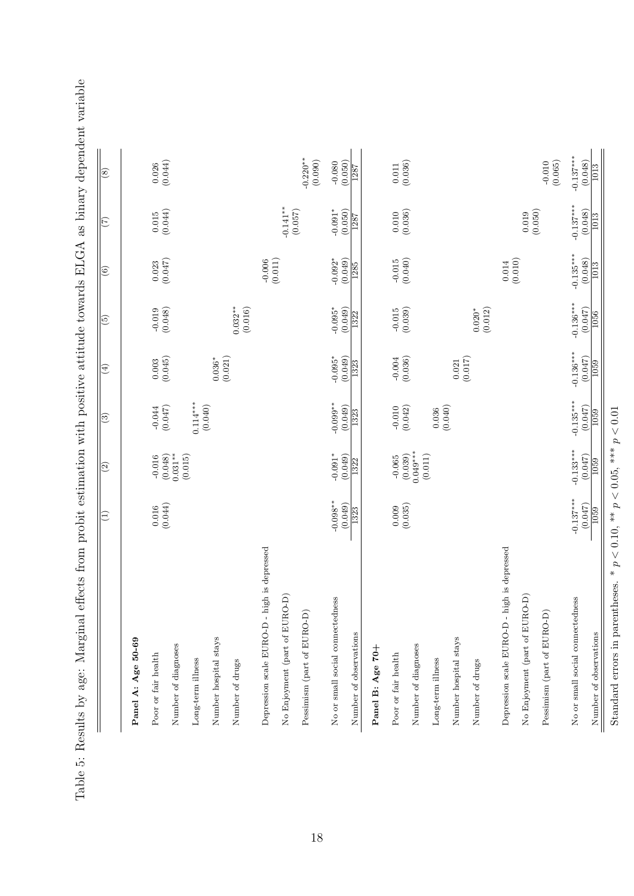|                                                | $\widehat{\Xi}$              | $\widehat{\Xi}$        | $\boxed{3}$            | $\bigoplus$            | $\boxed{5}$            | $\circledcirc$                                  | $\overline{(\overline{z})}$ | $\circledR$            |
|------------------------------------------------|------------------------------|------------------------|------------------------|------------------------|------------------------|-------------------------------------------------|-----------------------------|------------------------|
| Panel A: Age 50-69                             |                              |                        |                        |                        |                        |                                                 |                             |                        |
| Poor or fair health                            | 0.016                        | $-0.016$               | $-0.044$               | 0.003                  | (0.019)                | $\begin{array}{c} 0.023 \\ (0.047) \end{array}$ | 0.015                       | 0.026                  |
| Number of diagnoses                            | (0.044)                      | $0.031**$<br>(0.048)   | (0.047)                | (0.045)                |                        |                                                 | (0.044)                     | (0.044)                |
| Long-term illness                              |                              | (0.015)                | $0.114***$             |                        |                        |                                                 |                             |                        |
| Number hospital stays                          |                              |                        | (0.040)                | $0.036*$               |                        |                                                 |                             |                        |
| Number of drugs                                |                              |                        |                        | (0.021)                | $0.032**$<br>(0.016)   |                                                 |                             |                        |
| is depressed<br>Depression scale EURO-D - high |                              |                        |                        |                        |                        | $-0.006$                                        |                             |                        |
| No Enjoyment (part of EURO-D)                  |                              |                        |                        |                        |                        | (0.011)                                         | $-0.141**$                  |                        |
| Pessimism (part of EURO-D)                     |                              |                        |                        |                        |                        |                                                 | (0.057)                     | $-0.220**$<br>(0.090)  |
| No or small social connectedness               | $-0.098**$                   | $-0.091*$              | $-0.099**$             | $-0.095*$              | $-0.095*$              | $-0.092*$<br>(0.049)                            | $-0.091*$                   | (0.050)<br>$-0.080$    |
| Number of observations                         | (0.049)<br>$\overline{1323}$ | (0.049)<br>1322        | (0.049)<br>1323        | (0.049)<br>1323        | (0.049)<br>1322        | 1285                                            | (0.050)<br>1287             | <b>1287</b>            |
| Panel B: Age 70+                               |                              |                        |                        |                        |                        |                                                 |                             |                        |
| Poor or fair health                            | 0.009                        | $-0.065$               | $-0.010$               | $-0.004$               | $-0.015$<br>(0.039)    | $-0.015$                                        | 0.010                       | $0.011\,$              |
| Number of diagnoses                            | (0.035)                      | $0.049***$<br>(0.039)  | (0.042)                | (0.036)                |                        | (0.040)                                         | (0.036)                     | (0.036)                |
| Long-term illness                              |                              | (0.011)                | (0.040)<br>0.036       |                        |                        |                                                 |                             |                        |
| Number hospital stays                          |                              |                        |                        | 0.021                  |                        |                                                 |                             |                        |
| Number of drugs                                |                              |                        |                        | (0.017)                | $0.020*$<br>(0.012)    |                                                 |                             |                        |
| is depressed<br>Depression scale EURO-D - high |                              |                        |                        |                        |                        | (0.010)<br>0.014                                |                             |                        |
| No Enjoyment (part of EURO-D)                  |                              |                        |                        |                        |                        |                                                 | (0.050)<br>0.019            |                        |
| Pessimism (part of EURO-D)                     |                              |                        |                        |                        |                        |                                                 |                             | (0.065)<br>$-0.010$    |
| No or small social connectedness               | $-0.137***$<br>(0.047)       | $-0.133***$<br>(0.047) | $-0.135***$<br>(0.047) | $-0.136***$<br>(0.047) | $-0.136***$<br>(0.047) | $-0.135***$<br>(0.048)                          | $-0.137***$<br>(0.048)      | $-0.137***$<br>(0.048) |
| Number of observations                         | 1059                         | 1059                   | $\frac{1059}{}$        | 1059                   | 1056                   | $\overline{1013}$                               | $\frac{1013}{2}$            | $\overline{1013}$      |

Standard errors in parentheses. \*  $p < 0.10$ , \*\*  $p < 0.05$ , \*\*\*  $p < 0.01$ 

Standard errors in parentheses. \* $p<0.10,$  \*\*  $p<0.05,$  \*\*\*  $p<0.01$ 

Table 5: Results by age: Marginal effects from probit estimation with positive attitude towards ELGA as binary dependent variable Table 5: Results by age: Marginal effects from probit estimation with positive attitude towards ELGA as binary dependent variable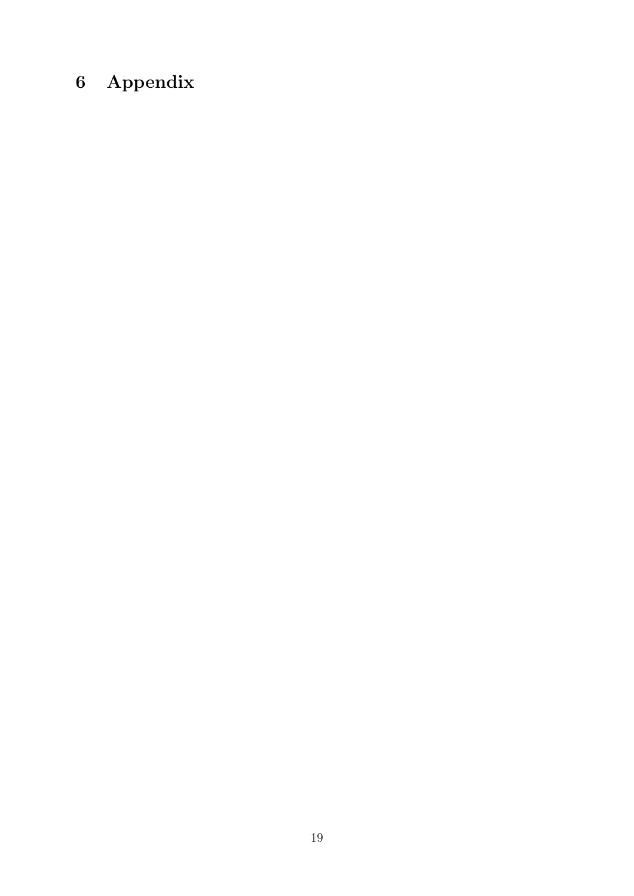# 6 Appendix